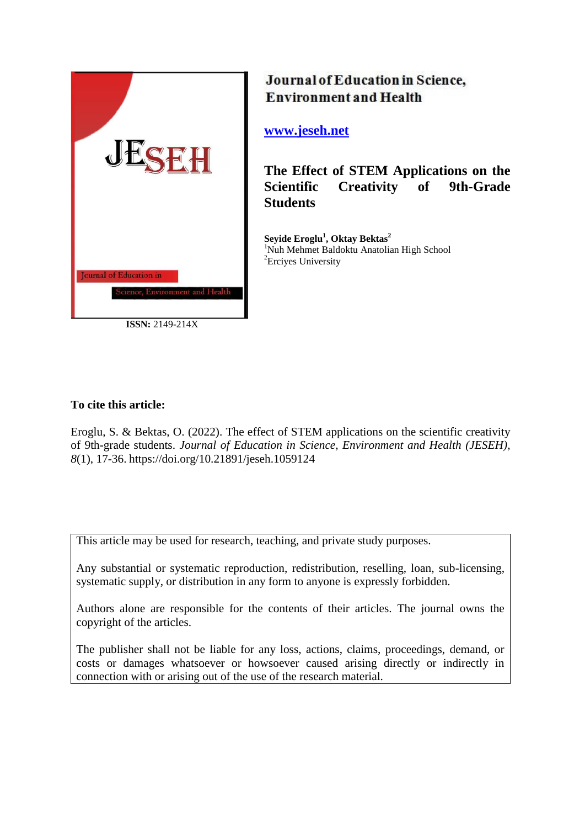

**ISSN:** 2149-214X

# Journal of Education in Science, **Environment and Health**

## **[www.jeseh.net](file:///C:/Users/mustafa/Desktop/www.jeseh.net)**

**The Effect of STEM Applications on the Scientific Creativity of 9th-Grade Students**

**Seyide Eroglu<sup>1</sup> , Oktay Bektas<sup>2</sup>** <sup>1</sup>Nuh Mehmet Baldoktu Anatolian High School <sup>2</sup>Erciyes University

## **To cite this article:**

Eroglu, S. & Bektas, O. (2022). The effect of STEM applications on the scientific creativity of 9th-grade students. *Journal of Education in Science, Environment and Health (JESEH), 8*(1), 17-36. https://doi.org/10.21891/jeseh.1059124

This article may be used for research, teaching, and private study purposes.

Any substantial or systematic reproduction, redistribution, reselling, loan, sub-licensing, systematic supply, or distribution in any form to anyone is expressly forbidden.

Authors alone are responsible for the contents of their articles. The journal owns the copyright of the articles.

The publisher shall not be liable for any loss, actions, claims, proceedings, demand, or costs or damages whatsoever or howsoever caused arising directly or indirectly in connection with or arising out of the use of the research material.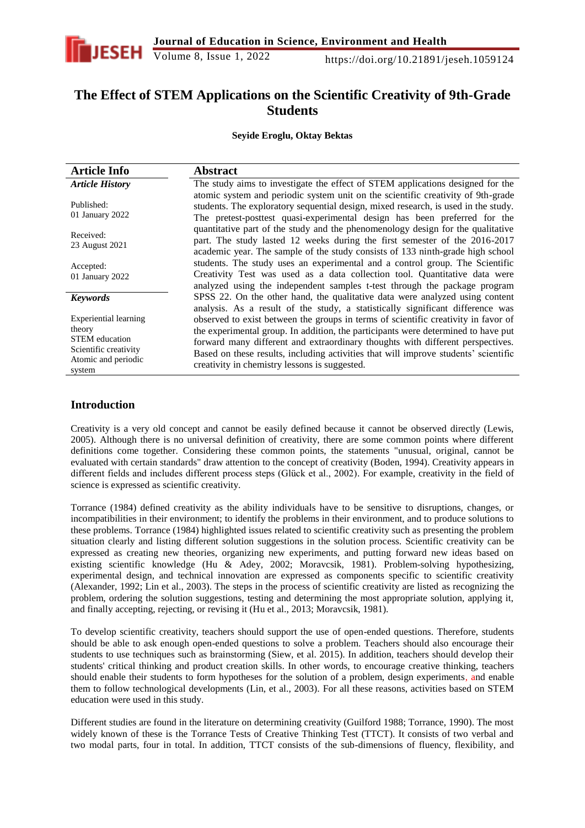

## **The Effect of STEM Applications on the Scientific Creativity of 9th-Grade Students**

**Seyide Eroglu, Oktay Bektas**

| <b>Article Info</b>                                                                                                | <b>Abstract</b>                                                                                                                                                                                                                                                                                                                                                                                   |
|--------------------------------------------------------------------------------------------------------------------|---------------------------------------------------------------------------------------------------------------------------------------------------------------------------------------------------------------------------------------------------------------------------------------------------------------------------------------------------------------------------------------------------|
| <b>Article History</b>                                                                                             | The study aims to investigate the effect of STEM applications designed for the                                                                                                                                                                                                                                                                                                                    |
| Published:<br>01 January 2022                                                                                      | atomic system and periodic system unit on the scientific creativity of 9th-grade<br>students. The exploratory sequential design, mixed research, is used in the study.<br>The pretest-posttest quasi-experimental design has been preferred for the                                                                                                                                               |
| Received:<br>23 August 2021                                                                                        | quantitative part of the study and the phenomenology design for the qualitative<br>part. The study lasted 12 weeks during the first semester of the 2016-2017<br>academic year. The sample of the study consists of 133 ninth-grade high school                                                                                                                                                   |
| Accepted:<br>01 January 2022                                                                                       | students. The study uses an experimental and a control group. The Scientific<br>Creativity Test was used as a data collection tool. Quantitative data were<br>analyzed using the independent samples t-test through the package program                                                                                                                                                           |
| <b>Keywords</b>                                                                                                    | SPSS 22. On the other hand, the qualitative data were analyzed using content<br>analysis. As a result of the study, a statistically significant difference was                                                                                                                                                                                                                                    |
| Experiential learning<br>theory<br><b>STEM</b> education<br>Scientific creativity<br>Atomic and periodic<br>system | observed to exist between the groups in terms of scientific creativity in favor of<br>the experimental group. In addition, the participants were determined to have put<br>forward many different and extraordinary thoughts with different perspectives.<br>Based on these results, including activities that will improve students' scientific<br>creativity in chemistry lessons is suggested. |

## **Introduction**

Creativity is a very old concept and cannot be easily defined because it cannot be observed directly (Lewis, 2005). Although there is no universal definition of creativity, there are some common points where different definitions come together. Considering these common points, the statements "unusual, original, cannot be evaluated with certain standards" draw attention to the concept of creativity (Boden, 1994). Creativity appears in different fields and includes different process steps (Glück et al., 2002). For example, creativity in the field of science is expressed as scientific creativity.

Torrance (1984) defined creativity as the ability individuals have to be sensitive to disruptions, changes, or incompatibilities in their environment; to identify the problems in their environment, and to produce solutions to these problems. Torrance (1984) highlighted issues related to scientific creativity such as presenting the problem situation clearly and listing different solution suggestions in the solution process. Scientific creativity can be expressed as creating new theories, organizing new experiments, and putting forward new ideas based on existing scientific knowledge (Hu & Adey, 2002; Moravcsik, 1981). Problem-solving hypothesizing, experimental design, and technical innovation are expressed as components specific to scientific creativity (Alexander, 1992; Lin et al., 2003). The steps in the process of scientific creativity are listed as recognizing the problem, ordering the solution suggestions, testing and determining the most appropriate solution, applying it, and finally accepting, rejecting, or revising it (Hu et al., 2013; Moravcsik, 1981).

To develop scientific creativity, teachers should support the use of open-ended questions. Therefore, students should be able to ask enough open-ended questions to solve a problem. Teachers should also encourage their students to use techniques such as brainstorming (Siew, et al. 2015). In addition, teachers should develop their students' critical thinking and product creation skills. In other words, to encourage creative thinking, teachers should enable their students to form hypotheses for the solution of a problem, design experiments, and enable them to follow technological developments (Lin, et al., 2003). For all these reasons, activities based on STEM education were used in this study.

Different studies are found in the literature on determining creativity (Guilford 1988; Torrance, 1990). The most widely known of these is the Torrance Tests of Creative Thinking Test (TTCT). It consists of two verbal and two modal parts, four in total. In addition, TTCT consists of the sub-dimensions of fluency, flexibility, and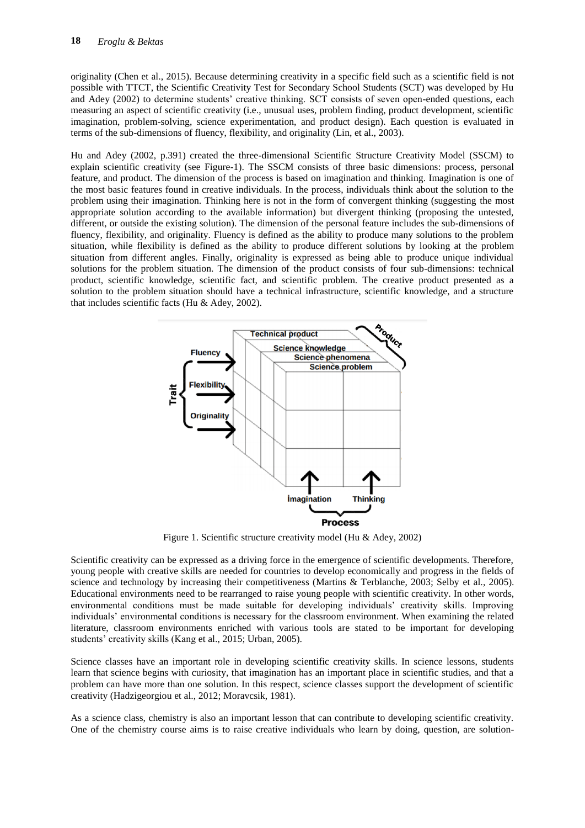originality (Chen et al., 2015). Because determining creativity in a specific field such as a scientific field is not possible with TTCT, the Scientific Creativity Test for Secondary School Students (SCT) was developed by Hu and Adey (2002) to determine students' creative thinking. SCT consists of seven open-ended questions, each measuring an aspect of scientific creativity (i.e., unusual uses, problem finding, product development, scientific imagination, problem-solving, science experimentation, and product design). Each question is evaluated in terms of the sub-dimensions of fluency, flexibility, and originality (Lin, et al., 2003).

Hu and Adey (2002, p.391) created the three-dimensional Scientific Structure Creativity Model (SSCM) to explain scientific creativity (see Figure-1). The SSCM consists of three basic dimensions: process, personal feature, and product. The dimension of the process is based on imagination and thinking. Imagination is one of the most basic features found in creative individuals. In the process, individuals think about the solution to the problem using their imagination. Thinking here is not in the form of convergent thinking (suggesting the most appropriate solution according to the available information) but divergent thinking (proposing the untested, different, or outside the existing solution). The dimension of the personal feature includes the sub-dimensions of fluency, flexibility, and originality. Fluency is defined as the ability to produce many solutions to the problem situation, while flexibility is defined as the ability to produce different solutions by looking at the problem situation from different angles. Finally, originality is expressed as being able to produce unique individual solutions for the problem situation. The dimension of the product consists of four sub-dimensions: technical product, scientific knowledge, scientific fact, and scientific problem. The creative product presented as a solution to the problem situation should have a technical infrastructure, scientific knowledge, and a structure that includes scientific facts (Hu & Adey, 2002).



Figure 1. Scientific structure creativity model (Hu & Adey, 2002)

Scientific creativity can be expressed as a driving force in the emergence of scientific developments. Therefore, young people with creative skills are needed for countries to develop economically and progress in the fields of science and technology by increasing their competitiveness (Martins & Terblanche, 2003; Selby et al., 2005). Educational environments need to be rearranged to raise young people with scientific creativity. In other words, environmental conditions must be made suitable for developing individuals' creativity skills. Improving individuals' environmental conditions is necessary for the classroom environment. When examining the related literature, classroom environments enriched with various tools are stated to be important for developing students' creativity skills (Kang et al., 2015; Urban, 2005).

Science classes have an important role in developing scientific creativity skills. In science lessons, students learn that science begins with curiosity, that imagination has an important place in scientific studies, and that a problem can have more than one solution. In this respect, science classes support the development of scientific creativity (Hadzigeorgiou et al., 2012; Moravcsik, 1981).

As a science class, chemistry is also an important lesson that can contribute to developing scientific creativity. One of the chemistry course aims is to raise creative individuals who learn by doing, question, are solution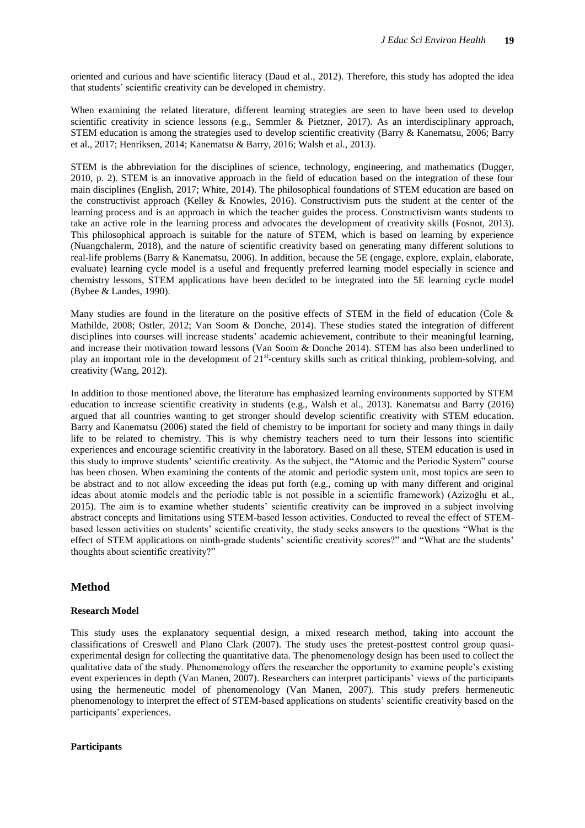oriented and curious and have scientific literacy (Daud et al., 2012). Therefore, this study has adopted the idea that students' scientific creativity can be developed in chemistry.

When examining the related literature, different learning strategies are seen to have been used to develop scientific creativity in science lessons (e.g., Semmler & Pietzner, 2017). As an interdisciplinary approach, STEM education is among the strategies used to develop scientific creativity (Barry & Kanematsu, 2006; Barry et al., 2017; Henriksen, 2014; Kanematsu & Barry, 2016; Walsh et al., 2013).

STEM is the abbreviation for the disciplines of science, technology, engineering, and mathematics (Dugger, 2010, p. 2). STEM is an innovative approach in the field of education based on the integration of these four main disciplines (English, 2017; White, 2014). The philosophical foundations of STEM education are based on the constructivist approach (Kelley & Knowles, 2016). Constructivism puts the student at the center of the learning process and is an approach in which the teacher guides the process. Constructivism wants students to take an active role in the learning process and advocates the development of creativity skills (Fosnot, 2013). This philosophical approach is suitable for the nature of STEM, which is based on learning by experience (Nuangchalerm, 2018), and the nature of scientific creativity based on generating many different solutions to real-life problems (Barry & Kanematsu, 2006). In addition, because the 5E (engage, explore, explain, elaborate, evaluate) learning cycle model is a useful and frequently preferred learning model especially in science and chemistry lessons, STEM applications have been decided to be integrated into the 5E learning cycle model (Bybee & Landes, 1990).

Many studies are found in the literature on the positive effects of STEM in the field of education (Cole  $\&$ Mathilde, 2008; Ostler, 2012; Van Soom & Donche, 2014). These studies stated the integration of different disciplines into courses will increase students' academic achievement, contribute to their meaningful learning, and increase their motivation toward lessons (Van Soom & Donche 2014). STEM has also been underlined to play an important role in the development of 21<sup>st</sup>-century skills such as critical thinking, problem-solving, and creativity (Wang, 2012).

In addition to those mentioned above, the literature has emphasized learning environments supported by STEM education to increase scientific creativity in students (e.g., Walsh et al., 2013). Kanematsu and Barry (2016) argued that all countries wanting to get stronger should develop scientific creativity with STEM education. Barry and Kanematsu (2006) stated the field of chemistry to be important for society and many things in daily life to be related to chemistry. This is why chemistry teachers need to turn their lessons into scientific experiences and encourage scientific creativity in the laboratory. Based on all these, STEM education is used in this study to improve students' scientific creativity. As the subject, the "Atomic and the Periodic System" course has been chosen. When examining the contents of the atomic and periodic system unit, most topics are seen to be abstract and to not allow exceeding the ideas put forth (e.g., coming up with many different and original ideas about atomic models and the periodic table is not possible in a scientific framework) (Azizoğlu et al., 2015). The aim is to examine whether students' scientific creativity can be improved in a subject involving abstract concepts and limitations using STEM-based lesson activities. Conducted to reveal the effect of STEMbased lesson activities on students' scientific creativity, the study seeks answers to the questions "What is the effect of STEM applications on ninth-grade students' scientific creativity scores?" and "What are the students' thoughts about scientific creativity?"

#### **Method**

#### **Research Model**

This study uses the explanatory sequential design, a mixed research method, taking into account the classifications of Creswell and Plano Clark (2007). The study uses the pretest-posttest control group quasiexperimental design for collecting the quantitative data. The phenomenology design has been used to collect the qualitative data of the study. Phenomenology offers the researcher the opportunity to examine people's existing event experiences in depth (Van Manen, 2007). Researchers can interpret participants' views of the participants using the hermeneutic model of phenomenology (Van Manen, 2007). This study prefers hermeneutic phenomenology to interpret the effect of STEM-based applications on students' scientific creativity based on the participants' experiences.

#### **Participants**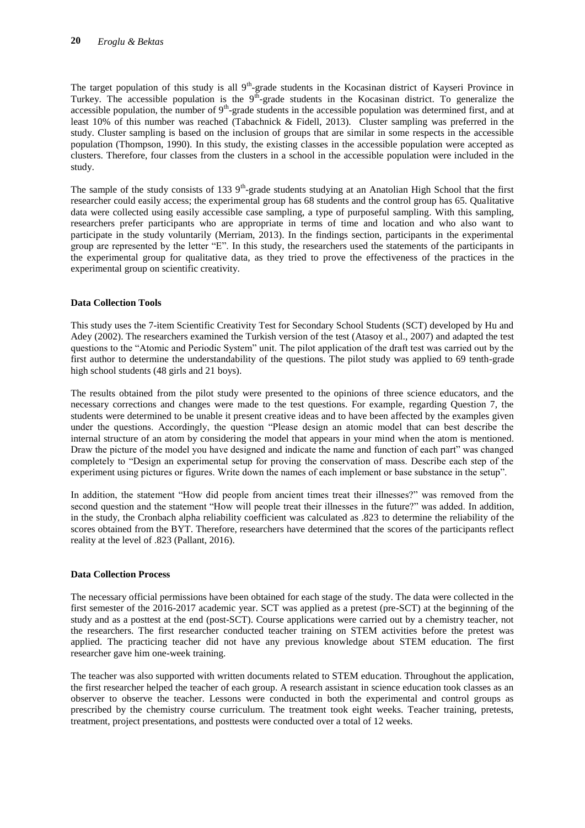The target population of this study is all 9<sup>th</sup>-grade students in the Kocasinan district of Kayseri Province in Turkey. The accessible population is the  $9<sup>th</sup>$ -grade students in the Kocasinan district. To generalize the accessible population, the number of  $9<sup>th</sup>$ -grade students in the accessible population was determined first, and at least 10% of this number was reached (Tabachnick & Fidell, 2013). Cluster sampling was preferred in the study. Cluster sampling is based on the inclusion of groups that are similar in some respects in the accessible population (Thompson, 1990). In this study, the existing classes in the accessible population were accepted as clusters. Therefore, four classes from the clusters in a school in the accessible population were included in the study.

The sample of the study consists of 133  $9<sup>th</sup>$ -grade students studying at an Anatolian High School that the first researcher could easily access; the experimental group has 68 students and the control group has 65. Qualitative data were collected using easily accessible case sampling, a type of purposeful sampling. With this sampling, researchers prefer participants who are appropriate in terms of time and location and who also want to participate in the study voluntarily (Merriam, 2013). In the findings section, participants in the experimental group are represented by the letter "E". In this study, the researchers used the statements of the participants in the experimental group for qualitative data, as they tried to prove the effectiveness of the practices in the experimental group on scientific creativity.

#### **Data Collection Tools**

This study uses the 7-item Scientific Creativity Test for Secondary School Students (SCT) developed by Hu and Adey (2002). The researchers examined the Turkish version of the test (Atasoy et al., 2007) and adapted the test questions to the "Atomic and Periodic System" unit. The pilot application of the draft test was carried out by the first author to determine the understandability of the questions. The pilot study was applied to 69 tenth-grade high school students (48 girls and 21 boys).

The results obtained from the pilot study were presented to the opinions of three science educators, and the necessary corrections and changes were made to the test questions. For example, regarding Question 7, the students were determined to be unable it present creative ideas and to have been affected by the examples given under the questions. Accordingly, the question "Please design an atomic model that can best describe the internal structure of an atom by considering the model that appears in your mind when the atom is mentioned. Draw the picture of the model you have designed and indicate the name and function of each part" was changed completely to "Design an experimental setup for proving the conservation of mass. Describe each step of the experiment using pictures or figures. Write down the names of each implement or base substance in the setup".

In addition, the statement "How did people from ancient times treat their illnesses?" was removed from the second question and the statement "How will people treat their illnesses in the future?" was added. In addition, in the study, the Cronbach alpha reliability coefficient was calculated as .823 to determine the reliability of the scores obtained from the BYT. Therefore, researchers have determined that the scores of the participants reflect reality at the level of .823 (Pallant, 2016).

#### **Data Collection Process**

The necessary official permissions have been obtained for each stage of the study. The data were collected in the first semester of the 2016-2017 academic year. SCT was applied as a pretest (pre-SCT) at the beginning of the study and as a posttest at the end (post-SCT). Course applications were carried out by a chemistry teacher, not the researchers. The first researcher conducted teacher training on STEM activities before the pretest was applied. The practicing teacher did not have any previous knowledge about STEM education. The first researcher gave him one-week training.

The teacher was also supported with written documents related to STEM education. Throughout the application, the first researcher helped the teacher of each group. A research assistant in science education took classes as an observer to observe the teacher. Lessons were conducted in both the experimental and control groups as prescribed by the chemistry course curriculum. The treatment took eight weeks. Teacher training, pretests, treatment, project presentations, and posttests were conducted over a total of 12 weeks.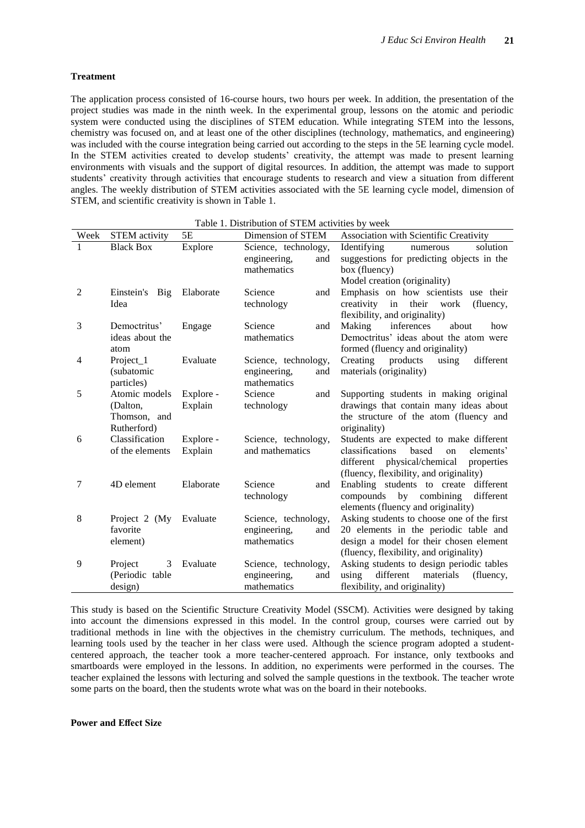#### **Treatment**

The application process consisted of 16-course hours, two hours per week. In addition, the presentation of the project studies was made in the ninth week. In the experimental group, lessons on the atomic and periodic system were conducted using the disciplines of STEM education. While integrating STEM into the lessons, chemistry was focused on, and at least one of the other disciplines (technology, mathematics, and engineering) was included with the course integration being carried out according to the steps in the 5E learning cycle model. In the STEM activities created to develop students' creativity, the attempt was made to present learning environments with visuals and the support of digital resources. In addition, the attempt was made to support students' creativity through activities that encourage students to research and view a situation from different angles. The weekly distribution of STEM activities associated with the 5E learning cycle model, dimension of STEM, and scientific creativity is shown in Table 1.

| Week           | <b>STEM</b> activity | 5E        | Dimension of STEM                  | Association with Scientific Creativity                                           |
|----------------|----------------------|-----------|------------------------------------|----------------------------------------------------------------------------------|
|                | <b>Black Box</b>     | Explore   | Science, technology,               | Identifying<br>solution<br>numerous                                              |
|                |                      |           | engineering,<br>and<br>mathematics | suggestions for predicting objects in the<br>box (fluency)                       |
|                |                      |           |                                    | Model creation (originality)                                                     |
| $\overline{2}$ | Einstein's Big       | Elaborate | Science<br>and                     | Emphasis on how scientists use their                                             |
|                | Idea                 |           | technology                         | in<br>creativity<br>their work<br>(fluency,                                      |
|                |                      |           |                                    | flexibility, and originality)                                                    |
| 3              | Democtritus'         | Engage    | Science<br>and                     | Making<br>inferences<br>about<br>how                                             |
|                | ideas about the      |           | mathematics                        | Democtritus' ideas about the atom were                                           |
|                | atom                 |           |                                    | formed (fluency and originality)                                                 |
| $\overline{4}$ | Project_1            | Evaluate  | Science, technology,               | Creating<br>products<br>using<br>different                                       |
|                | (subatomic           |           | engineering,<br>and                | materials (originality)                                                          |
|                | particles)           |           | mathematics                        |                                                                                  |
| 5              | Atomic models        | Explore - | Science<br>and                     | Supporting students in making original                                           |
|                | (Dalton,             | Explain   | technology                         | drawings that contain many ideas about                                           |
|                | Thomson, and         |           |                                    | the structure of the atom (fluency and                                           |
|                | Rutherford)          |           |                                    | originality)                                                                     |
| 6              | Classification       | Explore - | Science, technology,               | Students are expected to make different                                          |
|                | of the elements      | Explain   | and mathematics                    | based<br>classifications<br>on<br>elements'                                      |
|                |                      |           |                                    | different physical/chemical<br>properties                                        |
|                |                      |           |                                    | (fluency, flexibility, and originality)                                          |
| 7              | 4D element           | Elaborate | Science<br>and                     | Enabling students to create different                                            |
|                |                      |           | technology                         | compounds by combining<br>different                                              |
| 8              | Project 2 (My        | Evaluate  | Science, technology,               | elements (fluency and originality)<br>Asking students to choose one of the first |
|                | favorite             |           | engineering,<br>and                | 20 elements in the periodic table and                                            |
|                | element)             |           | mathematics                        | design a model for their chosen element                                          |
|                |                      |           |                                    | (fluency, flexibility, and originality)                                          |
| 9              | Project<br>3         | Evaluate  | Science, technology,               | Asking students to design periodic tables                                        |
|                | (Periodic table      |           | engineering,<br>and                | different<br>using<br>materials<br>(fluency,                                     |
|                | design)              |           | mathematics                        | flexibility, and originality)                                                    |
|                |                      |           |                                    |                                                                                  |

Table 1. Distribution of STEM activities by week

This study is based on the Scientific Structure Creativity Model (SSCM). Activities were designed by taking into account the dimensions expressed in this model. In the control group, courses were carried out by traditional methods in line with the objectives in the chemistry curriculum. The methods, techniques, and learning tools used by the teacher in her class were used. Although the science program adopted a studentcentered approach, the teacher took a more teacher-centered approach. For instance, only textbooks and smartboards were employed in the lessons. In addition, no experiments were performed in the courses. The teacher explained the lessons with lecturing and solved the sample questions in the textbook. The teacher wrote some parts on the board, then the students wrote what was on the board in their notebooks.

#### **Power and Effect Size**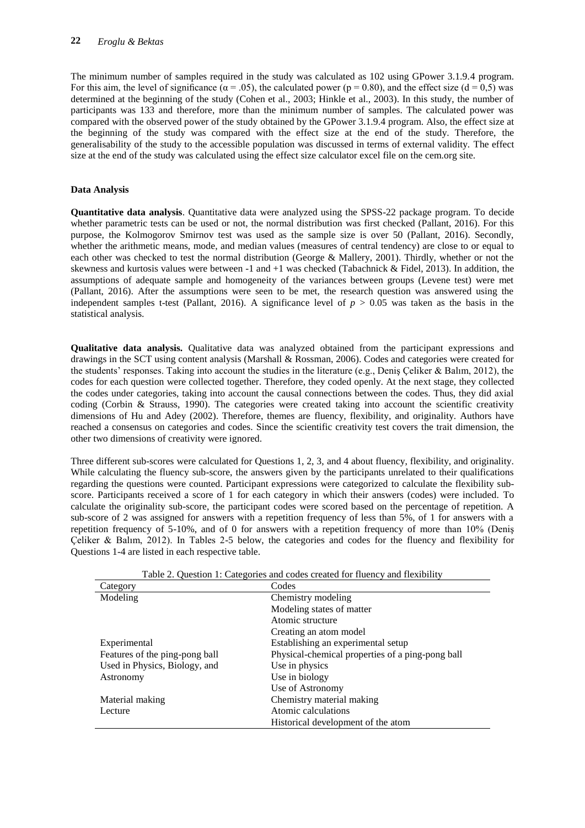The minimum number of samples required in the study was calculated as 102 using GPower 3.1.9.4 program. For this aim, the level of significance ( $\alpha = .05$ ), the calculated power ( $p = 0.80$ ), and the effect size (d = 0.5) was determined at the beginning of the study (Cohen et al., 2003; Hinkle et al., 2003). In this study, the number of participants was 133 and therefore, more than the minimum number of samples. The calculated power was compared with the observed power of the study obtained by the GPower 3.1.9.4 program. Also, the effect size at the beginning of the study was compared with the effect size at the end of the study. Therefore, the generalisability of the study to the accessible population was discussed in terms of external validity. The effect size at the end of the study was calculated using the effect size calculator excel file on the cem.org site.

### **Data Analysis**

**Quantitative data analysis**. Quantitative data were analyzed using the SPSS-22 package program. To decide whether parametric tests can be used or not, the normal distribution was first checked (Pallant, 2016). For this purpose, the Kolmogorov Smirnov test was used as the sample size is over 50 (Pallant, 2016). Secondly, whether the arithmetic means, mode, and median values (measures of central tendency) are close to or equal to each other was checked to test the normal distribution (George & Mallery, 2001). Thirdly, whether or not the skewness and kurtosis values were between -1 and +1 was checked (Tabachnick & Fidel, 2013). In addition, the assumptions of adequate sample and homogeneity of the variances between groups (Levene test) were met (Pallant, 2016). After the assumptions were seen to be met, the research question was answered using the independent samples t-test (Pallant, 2016). A significance level of  $p > 0.05$  was taken as the basis in the statistical analysis.

**Qualitative data analysis.** Qualitative data was analyzed obtained from the participant expressions and drawings in the SCT using content analysis (Marshall & Rossman, 2006). Codes and categories were created for the students' responses. Taking into account the studies in the literature (e.g., Deniş Çeliker & Balım, 2012), the codes for each question were collected together. Therefore, they coded openly. At the next stage, they collected the codes under categories, taking into account the causal connections between the codes. Thus, they did axial coding (Corbin & Strauss, 1990). The categories were created taking into account the scientific creativity dimensions of Hu and Adey (2002). Therefore, themes are fluency, flexibility, and originality. Authors have reached a consensus on categories and codes. Since the scientific creativity test covers the trait dimension, the other two dimensions of creativity were ignored.

Three different sub-scores were calculated for Questions 1, 2, 3, and 4 about fluency, flexibility, and originality. While calculating the fluency sub-score, the answers given by the participants unrelated to their qualifications regarding the questions were counted. Participant expressions were categorized to calculate the flexibility subscore. Participants received a score of 1 for each category in which their answers (codes) were included. To calculate the originality sub-score, the participant codes were scored based on the percentage of repetition. A sub-score of 2 was assigned for answers with a repetition frequency of less than 5%, of 1 for answers with a repetition frequency of 5-10%, and of 0 for answers with a repetition frequency of more than 10% (Deniş Çeliker & Balım, 2012). In Tables 2-5 below, the categories and codes for the fluency and flexibility for Questions 1-4 are listed in each respective table.

| Table 2. Question 1. Categories and codes created for muency and hexibility |                                                  |  |  |  |
|-----------------------------------------------------------------------------|--------------------------------------------------|--|--|--|
| Category                                                                    | Codes                                            |  |  |  |
| Modeling                                                                    | Chemistry modeling                               |  |  |  |
|                                                                             | Modeling states of matter                        |  |  |  |
|                                                                             | Atomic structure                                 |  |  |  |
|                                                                             | Creating an atom model                           |  |  |  |
| Experimental                                                                | Establishing an experimental setup               |  |  |  |
| Features of the ping-pong ball                                              | Physical-chemical properties of a ping-pong ball |  |  |  |
| Used in Physics, Biology, and                                               | Use in physics                                   |  |  |  |
| Astronomy                                                                   | Use in biology                                   |  |  |  |
|                                                                             | Use of Astronomy                                 |  |  |  |
| Material making                                                             | Chemistry material making                        |  |  |  |
| Lecture                                                                     | Atomic calculations                              |  |  |  |
|                                                                             | Historical development of the atom               |  |  |  |

Table 2. Question 1: Categories and codes created for fluency and flexibility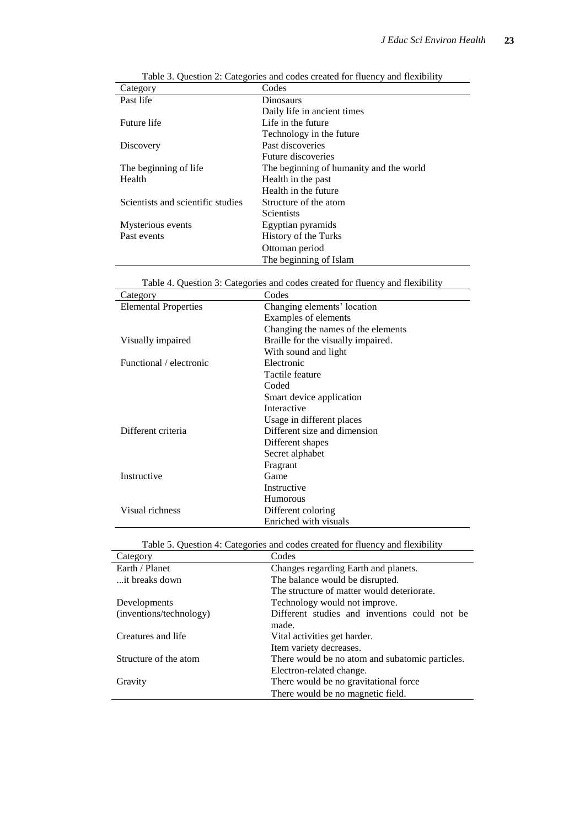| Category                          | Codes                                   |
|-----------------------------------|-----------------------------------------|
| Past life                         | Dinosaurs                               |
|                                   | Daily life in ancient times             |
| Future life                       | Life in the future                      |
|                                   | Technology in the future                |
| Discovery                         | Past discoveries                        |
|                                   | Future discoveries                      |
| The beginning of life             | The beginning of humanity and the world |
| Health                            | Health in the past                      |
|                                   | Health in the future                    |
| Scientists and scientific studies | Structure of the atom                   |
|                                   | <b>Scientists</b>                       |
| Mysterious events                 | Egyptian pyramids                       |
| Past events                       | History of the Turks                    |
|                                   | Ottoman period                          |
|                                   | The beginning of Islam                  |

| Table 3. Question 2: Categories and codes created for fluency and flexibility |  |  |  |
|-------------------------------------------------------------------------------|--|--|--|
|                                                                               |  |  |  |

|  | Table 4. Question 3: Categories and codes created for fluency and flexibility |
|--|-------------------------------------------------------------------------------|
|  |                                                                               |

| Category                    | Codes                              |
|-----------------------------|------------------------------------|
| <b>Elemental Properties</b> | Changing elements' location        |
|                             | Examples of elements               |
|                             | Changing the names of the elements |
| Visually impaired           | Braille for the visually impaired. |
|                             | With sound and light               |
| Functional / electronic     | Electronic                         |
|                             | Tactile feature                    |
|                             | Coded                              |
|                             | Smart device application           |
|                             | Interactive                        |
|                             | Usage in different places          |
| Different criteria          | Different size and dimension       |
|                             | Different shapes                   |
|                             | Secret alphabet                    |
|                             | Fragrant                           |
| Instructive                 | Game                               |
|                             | Instructive                        |
|                             | <b>Humorous</b>                    |
| Visual richness             | Different coloring                 |
|                             | Enriched with visuals              |

Table 5. Question 4: Categories and codes created for fluency and flexibility

| Earth / Planet<br>Changes regarding Earth and planets.<br>The balance would be disrupted.<br>it breaks down<br>The structure of matter would deteriorate.<br>Technology would not improve.<br>Developments<br>Different studies and inventions could not be<br>(inventions/technology)<br>made.<br>Vital activities get harder.<br>Creatures and life | Category | Codes |
|-------------------------------------------------------------------------------------------------------------------------------------------------------------------------------------------------------------------------------------------------------------------------------------------------------------------------------------------------------|----------|-------|
|                                                                                                                                                                                                                                                                                                                                                       |          |       |
|                                                                                                                                                                                                                                                                                                                                                       |          |       |
|                                                                                                                                                                                                                                                                                                                                                       |          |       |
|                                                                                                                                                                                                                                                                                                                                                       |          |       |
|                                                                                                                                                                                                                                                                                                                                                       |          |       |
|                                                                                                                                                                                                                                                                                                                                                       |          |       |
|                                                                                                                                                                                                                                                                                                                                                       |          |       |
| Item variety decreases.                                                                                                                                                                                                                                                                                                                               |          |       |
| Structure of the atom<br>There would be no atom and subatomic particles.                                                                                                                                                                                                                                                                              |          |       |
| Electron-related change.                                                                                                                                                                                                                                                                                                                              |          |       |
| There would be no gravitational force.<br>Gravity                                                                                                                                                                                                                                                                                                     |          |       |
| There would be no magnetic field.                                                                                                                                                                                                                                                                                                                     |          |       |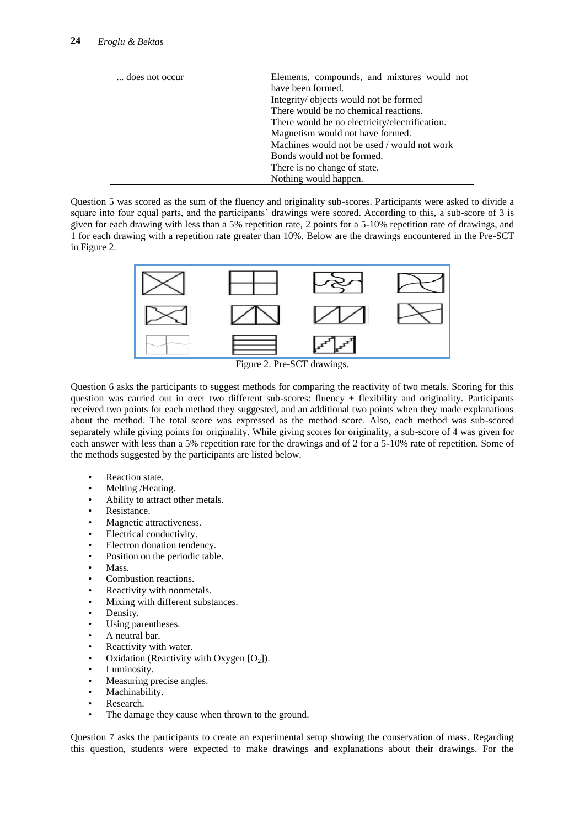| does not occur | Elements, compounds, and mixtures would not    |  |
|----------------|------------------------------------------------|--|
|                | have been formed.                              |  |
|                | Integrity/ objects would not be formed         |  |
|                | There would be no chemical reactions.          |  |
|                | There would be no electricity/electrification. |  |
|                | Magnetism would not have formed.               |  |
|                | Machines would not be used / would not work    |  |
|                | Bonds would not be formed.                     |  |
|                | There is no change of state.                   |  |
|                | Nothing would happen.                          |  |

Question 5 was scored as the sum of the fluency and originality sub-scores. Participants were asked to divide a square into four equal parts, and the participants' drawings were scored. According to this, a sub-score of 3 is given for each drawing with less than a 5% repetition rate, 2 points for a 5-10% repetition rate of drawings, and 1 for each drawing with a repetition rate greater than 10%. Below are the drawings encountered in the Pre-SCT in Figure 2.



Figure 2. Pre-SCT drawings.

Question 6 asks the participants to suggest methods for comparing the reactivity of two metals. Scoring for this question was carried out in over two different sub-scores: fluency + flexibility and originality. Participants received two points for each method they suggested, and an additional two points when they made explanations about the method. The total score was expressed as the method score. Also, each method was sub-scored separately while giving points for originality. While giving scores for originality, a sub-score of 4 was given for each answer with less than a 5% repetition rate for the drawings and of 2 for a 5-10% rate of repetition. Some of the methods suggested by the participants are listed below.

- Reaction state.
- Melting /Heating.
- Ability to attract other metals.
- Resistance.
- Magnetic attractiveness.
- Electrical conductivity.
- Electron donation tendency.
- Position on the periodic table.
- Mass.
- Combustion reactions.
- Reactivity with nonmetals.
- Mixing with different substances.
- Density.
- Using parentheses.
- A neutral bar.
- Reactivity with water.
- Oxidation (Reactivity with Oxygen  $[O_2]$ ).
- Luminosity.
- Measuring precise angles.
- Machinability.
- Research.
- The damage they cause when thrown to the ground.

Question 7 asks the participants to create an experimental setup showing the conservation of mass. Regarding this question, students were expected to make drawings and explanations about their drawings. For the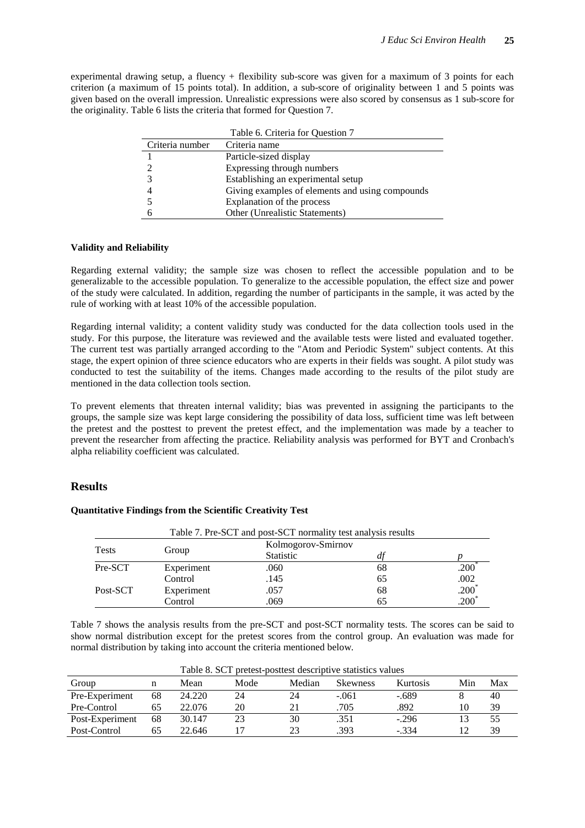experimental drawing setup, a fluency + flexibility sub-score was given for a maximum of 3 points for each criterion (a maximum of 15 points total). In addition, a sub-score of originality between 1 and 5 points was given based on the overall impression. Unrealistic expressions were also scored by consensus as 1 sub-score for the originality. Table 6 lists the criteria that formed for Question 7.

|                 | Table 6. Criteria for Question 7                |
|-----------------|-------------------------------------------------|
| Criteria number | Criteria name                                   |
|                 | Particle-sized display                          |
|                 | Expressing through numbers                      |
|                 | Establishing an experimental setup              |
|                 | Giving examples of elements and using compounds |
|                 | Explanation of the process                      |
|                 | Other (Unrealistic Statements)                  |

#### **Validity and Reliability**

Regarding external validity; the sample size was chosen to reflect the accessible population and to be generalizable to the accessible population. To generalize to the accessible population, the effect size and power of the study were calculated. In addition, regarding the number of participants in the sample, it was acted by the rule of working with at least 10% of the accessible population.

Regarding internal validity; a content validity study was conducted for the data collection tools used in the study. For this purpose, the literature was reviewed and the available tests were listed and evaluated together. The current test was partially arranged according to the "Atom and Periodic System" subject contents. At this stage, the expert opinion of three science educators who are experts in their fields was sought. A pilot study was conducted to test the suitability of the items. Changes made according to the results of the pilot study are mentioned in the data collection tools section.

To prevent elements that threaten internal validity; bias was prevented in assigning the participants to the groups, the sample size was kept large considering the possibility of data loss, sufficient time was left between the pretest and the posttest to prevent the pretest effect, and the implementation was made by a teacher to prevent the researcher from affecting the practice. Reliability analysis was performed for BYT and Cronbach's alpha reliability coefficient was calculated.

## **Results**

#### **Quantitative Findings from the Scientific Creativity Test**

|              |            | Table 7. Pre-SCT and post-SCT normality test analysis results |                    |                   |
|--------------|------------|---------------------------------------------------------------|--------------------|-------------------|
|              |            |                                                               | Kolmogorov-Smirnov |                   |
| <b>Tests</b> | Group      | <b>Statistic</b>                                              |                    |                   |
| Pre-SCT      | Experiment | .060                                                          | 68                 | .200 <sup>°</sup> |
|              | Control    | .145                                                          | 65                 | .002              |
| Post-SCT     | Experiment | .057                                                          | 68                 | $.200*$           |
|              | Control    | .069                                                          | 65                 | $.200*$           |

Table 7 shows the analysis results from the pre-SCT and post-SCT normality tests. The scores can be said to show normal distribution except for the pretest scores from the control group. An evaluation was made for normal distribution by taking into account the criteria mentioned below.

| Table 8. SCT pretest-posttest descriptive statistics values |    |        |      |        |                 |                 |                 |     |
|-------------------------------------------------------------|----|--------|------|--------|-----------------|-----------------|-----------------|-----|
| Group                                                       | n  | Mean   | Mode | Median | <b>Skewness</b> | <b>Kurtosis</b> | Min             | Max |
| Pre-Experiment                                              | 68 | 24.220 | 24   | 24     | $-.061$         | $-.689$         |                 | 40  |
| Pre-Control                                                 | 65 | 22.076 | 20   | 21     | .705            | .892            | 10              | 39  |
| Post-Experiment                                             | 68 | 30.147 | 23   | 30     | .351            | $-.296$         | 13              | 55  |
| Post-Control                                                | 65 | 22.646 |      | 23     | .393            | $-.334$         | $\overline{12}$ | 39  |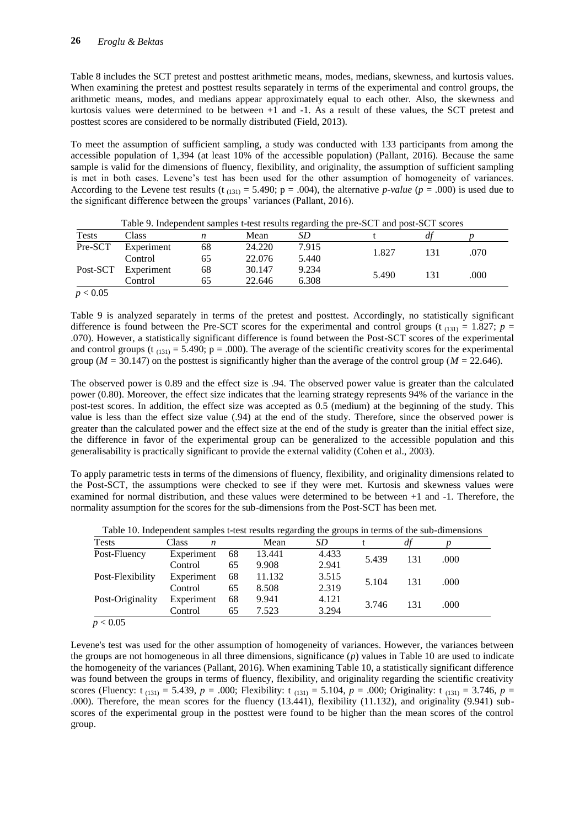Table 8 includes the SCT pretest and posttest arithmetic means, modes, medians, skewness, and kurtosis values. When examining the pretest and posttest results separately in terms of the experimental and control groups, the arithmetic means, modes, and medians appear approximately equal to each other. Also, the skewness and kurtosis values were determined to be between +1 and -1. As a result of these values, the SCT pretest and posttest scores are considered to be normally distributed (Field, 2013).

To meet the assumption of sufficient sampling, a study was conducted with 133 participants from among the accessible population of 1,394 (at least 10% of the accessible population) (Pallant, 2016). Because the same sample is valid for the dimensions of fluency, flexibility, and originality, the assumption of sufficient sampling is met in both cases. Levene's test has been used for the other assumption of homogeneity of variances. According to the Levene test results (t<sub>(131)</sub> = 5.490; p = .004), the alternative *p-value* ( $p = .000$ ) is used due to the significant difference between the groups' variances (Pallant, 2016).

|              |            |    |        |       | Tube, and pendent samples these results regarding the pre-ber-and post-bet-secres |     |      |
|--------------|------------|----|--------|-------|-----------------------------------------------------------------------------------|-----|------|
| <b>Tests</b> | Class      | n  | Mean   | SD    |                                                                                   |     |      |
| Pre-SCT      | Experiment | 68 | 24.220 | 7.915 | 1.827                                                                             | 131 | .070 |
|              | Control    | 65 | 22.076 | 5.440 |                                                                                   |     |      |
| Post-SCT     | Experiment | 68 | 30.147 | 9.234 | 5.490                                                                             | 131 | .000 |
|              | Control    | 65 | 22.646 | 6.308 |                                                                                   |     |      |
| p < 0.05     |            |    |        |       |                                                                                   |     |      |

Table 9. Independent samples t-test results regarding the pre-SCT and post-SCT scores

Table 9 is analyzed separately in terms of the pretest and posttest. Accordingly, no statistically significant difference is found between the Pre-SCT scores for the experimental and control groups (t<sub>(131)</sub> = 1.827;  $p =$ .070). However, a statistically significant difference is found between the Post-SCT scores of the experimental and control groups (t<sub>(131)</sub> = 5.490; p = .000). The average of the scientific creativity scores for the experimental group ( $M = 30.147$ ) on the posttest is significantly higher than the average of the control group ( $M = 22.646$ ).

The observed power is 0.89 and the effect size is .94. The observed power value is greater than the calculated power (0.80). Moreover, the effect size indicates that the learning strategy represents 94% of the variance in the post-test scores. In addition, the effect size was accepted as 0.5 (medium) at the beginning of the study. This value is less than the effect size value (.94) at the end of the study. Therefore, since the observed power is greater than the calculated power and the effect size at the end of the study is greater than the initial effect size, the difference in favor of the experimental group can be generalized to the accessible population and this generalisability is practically significant to provide the external validity (Cohen et al., 2003).

To apply parametric tests in terms of the dimensions of fluency, flexibility, and originality dimensions related to the Post-SCT, the assumptions were checked to see if they were met. Kurtosis and skewness values were examined for normal distribution, and these values were determined to be between +1 and -1. Therefore, the normality assumption for the scores for the sub-dimensions from the Post-SCT has been met.

| Class<br>n |    | Mean   | <i>SD</i> |                         |                   |                      |
|------------|----|--------|-----------|-------------------------|-------------------|----------------------|
| Experiment | 68 | 13.441 | 4.433     |                         |                   |                      |
| Control    | 65 | 9.908  | 2.941     |                         |                   |                      |
| Experiment | 68 | 11.132 | 3.515     |                         |                   |                      |
| Control    | 65 | 8.508  | 2.319     |                         |                   |                      |
| Experiment | 68 | 9.941  | 4.121     |                         |                   |                      |
| Control    | 65 | 7.523  | 3.294     |                         |                   |                      |
|            |    |        |           | 5.439<br>5.104<br>3.746 | 131<br>131<br>131 | .000<br>.000<br>.000 |

Table 10. Independent samples t-test results regarding the groups in terms of the sub-dimensions

 $p < 0.05$ 

Levene's test was used for the other assumption of homogeneity of variances. However, the variances between the groups are not homogeneous in all three dimensions, significance (*p*) values in Table 10 are used to indicate the homogeneity of the variances (Pallant, 2016). When examining Table 10, a statistically significant difference was found between the groups in terms of fluency, flexibility, and originality regarding the scientific creativity scores (Fluency: t<sub>(131)</sub> = 5.439,  $p = .000$ ; Flexibility: t<sub>(131)</sub> = 5.104,  $p = .000$ ; Originality: t<sub>(131)</sub> = 3.746,  $p =$ .000). Therefore, the mean scores for the fluency (13.441), flexibility (11.132), and originality (9.941) subscores of the experimental group in the posttest were found to be higher than the mean scores of the control group.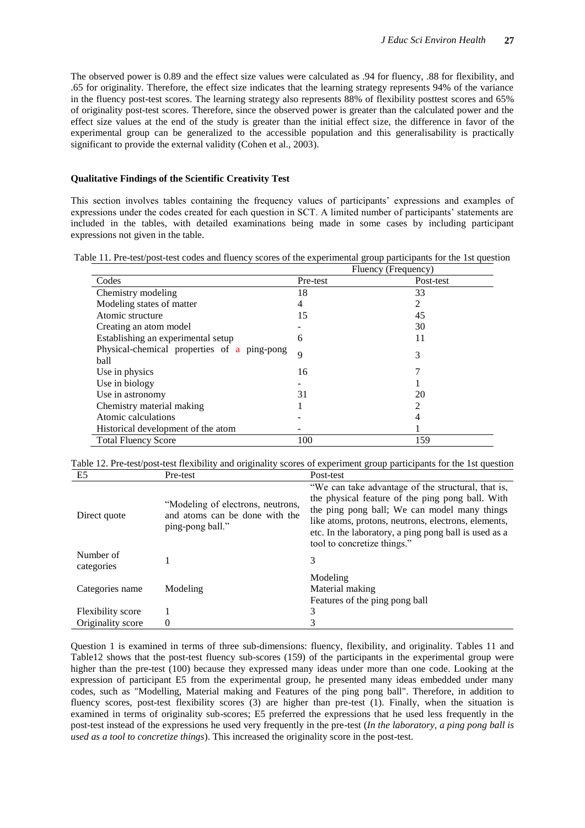The observed power is 0.89 and the effect size values were calculated as .94 for fluency, .88 for flexibility, and .65 for originality. Therefore, the effect size indicates that the learning strategy represents 94% of the variance in the fluency post-test scores. The learning strategy also represents 88% of flexibility posttest scores and 65% of originality post-test scores. Therefore, since the observed power is greater than the calculated power and the effect size values at the end of the study is greater than the initial effect size, the difference in favor of the experimental group can be generalized to the accessible population and this generalisability is practically significant to provide the external validity (Cohen et al., 2003).

#### **Qualitative Findings of the Scientific Creativity Test**

This section involves tables containing the frequency values of participants' expressions and examples of expressions under the codes created for each question in SCT. A limited number of participants' statements are included in the tables, with detailed examinations being made in some cases by including participant expressions not given in the table.

Table 11. Pre-test/post-test codes and fluency scores of the experimental group participants for the 1st question

|                                             |          | Fluency (Frequency) |
|---------------------------------------------|----------|---------------------|
| Codes                                       | Pre-test | Post-test           |
| Chemistry modeling                          | 18       | 33                  |
| Modeling states of matter                   | 4        | 2                   |
| Atomic structure                            | 15       | 45                  |
| Creating an atom model                      |          | 30                  |
| Establishing an experimental setup          | 6        | 11                  |
| Physical-chemical properties of a ping-pong | 9        | 3                   |
| ball                                        |          |                     |
| Use in physics                              | 16       |                     |
| Use in biology                              |          |                     |
| Use in astronomy                            | 31       | 20                  |
| Chemistry material making                   |          |                     |
| Atomic calculations                         |          |                     |
| Historical development of the atom          |          |                     |
| <b>Total Fluency Score</b>                  | 100      | 159                 |

Table 12. Pre-test/post-test flexibility and originality scores of experiment group participants for the 1st question

| E <sub>5</sub>           | Pre-test                                                                                | Post-test                                                                                                                                                                                                                                                                                             |
|--------------------------|-----------------------------------------------------------------------------------------|-------------------------------------------------------------------------------------------------------------------------------------------------------------------------------------------------------------------------------------------------------------------------------------------------------|
| Direct quote             | "Modeling of electrons, neutrons,<br>and atoms can be done with the<br>ping-pong ball." | "We can take advantage of the structural, that is,<br>the physical feature of the ping pong ball. With<br>the ping pong ball; We can model many things<br>like atoms, protons, neutrons, electrons, elements,<br>etc. In the laboratory, a ping pong ball is used as a<br>tool to concretize things." |
| Number of<br>categories  |                                                                                         | 3                                                                                                                                                                                                                                                                                                     |
| Categories name          | Modeling                                                                                | Modeling<br>Material making<br>Features of the ping pong ball                                                                                                                                                                                                                                         |
| <b>Flexibility</b> score |                                                                                         | 3                                                                                                                                                                                                                                                                                                     |
| Originality score        | 0                                                                                       | 3                                                                                                                                                                                                                                                                                                     |

Question 1 is examined in terms of three sub-dimensions: fluency, flexibility, and originality. Tables 11 and Table12 shows that the post-test fluency sub-scores (159) of the participants in the experimental group were higher than the pre-test (100) because they expressed many ideas under more than one code. Looking at the expression of participant E5 from the experimental group, he presented many ideas embedded under many codes, such as "Modelling, Material making and Features of the ping pong ball". Therefore, in addition to fluency scores, post-test flexibility scores (3) are higher than pre-test (1). Finally, when the situation is examined in terms of originality sub-scores; E5 preferred the expressions that he used less frequently in the post-test instead of the expressions he used very frequently in the pre-test (*In the laboratory, a ping pong ball is used as a tool to concretize things*). This increased the originality score in the post-test.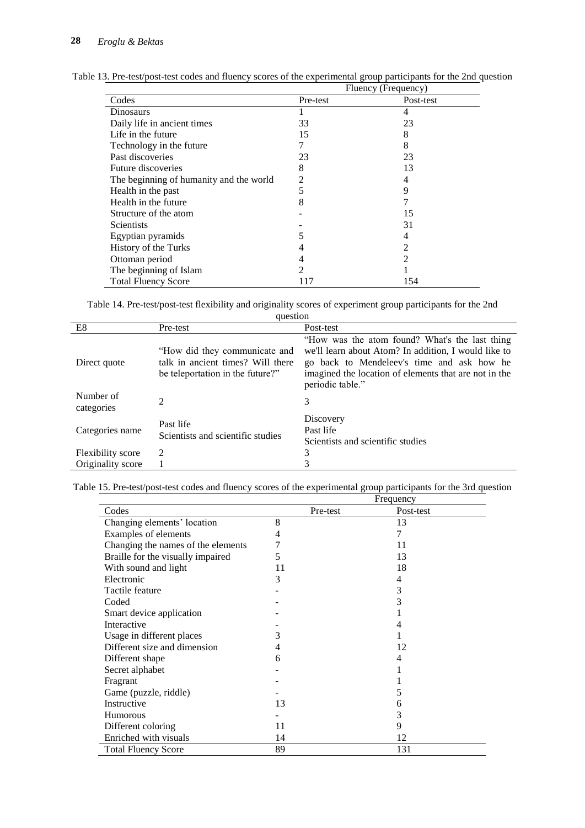|                                         | Fluency (Frequency)         |                |  |  |
|-----------------------------------------|-----------------------------|----------------|--|--|
| Codes                                   | Pre-test                    | Post-test      |  |  |
| Dinosaurs                               |                             | 4              |  |  |
| Daily life in ancient times             | 33                          | 23             |  |  |
| Life in the future                      | 15                          | 8              |  |  |
| Technology in the future                |                             | 8              |  |  |
| Past discoveries                        | 23                          | 23             |  |  |
| Future discoveries                      | 8                           | 13             |  |  |
| The beginning of humanity and the world | 2                           | 4              |  |  |
| Health in the past                      | 5                           | 9              |  |  |
| Health in the future                    | 8                           |                |  |  |
| Structure of the atom                   |                             | 15             |  |  |
| Scientists                              |                             | 31             |  |  |
| Egyptian pyramids                       | 5                           | 4              |  |  |
| History of the Turks                    | 4                           | $\mathfrak{D}$ |  |  |
| Ottoman period                          | 4                           | 2              |  |  |
| The beginning of Islam                  | $\mathcal{D}_{\mathcal{L}}$ |                |  |  |
| <b>Total Fluency Score</b>              | 117                         | 154            |  |  |

Table 13. Pre-test/post-test codes and fluency scores of the experimental group participants for the 2nd question

Table 14. Pre-test/post-test flexibility and originality scores of experiment group participants for the 2nd

| question                 |                                                                                                        |                                                                                                                                                                                                                                   |  |  |  |
|--------------------------|--------------------------------------------------------------------------------------------------------|-----------------------------------------------------------------------------------------------------------------------------------------------------------------------------------------------------------------------------------|--|--|--|
| E8                       | Pre-test                                                                                               | Post-test                                                                                                                                                                                                                         |  |  |  |
| Direct quote             | "How did they communicate and<br>talk in ancient times? Will there<br>be teleportation in the future?" | "How was the atom found? What's the last thing<br>we'll learn about Atom? In addition, I would like to<br>go back to Mendeleev's time and ask how he<br>imagined the location of elements that are not in the<br>periodic table." |  |  |  |
| Number of<br>categories  | $\mathfrak{D}$                                                                                         | 3                                                                                                                                                                                                                                 |  |  |  |
| Categories name          | Past life<br>Scientists and scientific studies                                                         | Discovery<br>Past life<br>Scientists and scientific studies                                                                                                                                                                       |  |  |  |
| <b>Flexibility</b> score | 2                                                                                                      | 3                                                                                                                                                                                                                                 |  |  |  |
| Originality score        |                                                                                                        | 3                                                                                                                                                                                                                                 |  |  |  |

| Table 15. Pre-test/post-test codes and fluency scores of the experimental group participants for the 3rd question |  |  |  |  |  |
|-------------------------------------------------------------------------------------------------------------------|--|--|--|--|--|
|                                                                                                                   |  |  |  |  |  |

|                                    |          | Frequency |  |
|------------------------------------|----------|-----------|--|
| Codes                              | Pre-test | Post-test |  |
| Changing elements' location        | 8        | 13        |  |
| Examples of elements               | 4        | 7         |  |
| Changing the names of the elements | 7        | 11        |  |
| Braille for the visually impaired  | 5        | 13        |  |
| With sound and light               | 11       | 18        |  |
| Electronic                         | 3        | 4         |  |
| Tactile feature                    |          | 3         |  |
| Coded                              |          | 3         |  |
| Smart device application           |          |           |  |
| Interactive                        |          |           |  |
| Usage in different places          | 3        |           |  |
| Different size and dimension       | 4        | 12        |  |
| Different shape                    | 6        | 4         |  |
| Secret alphabet                    |          |           |  |
| Fragrant                           |          |           |  |
| Game (puzzle, riddle)              |          | 5         |  |
| Instructive                        | 13       | 6         |  |
| <b>Humorous</b>                    |          | 3         |  |
| Different coloring                 | 11       | 9         |  |
| Enriched with visuals              | 14       | 12        |  |
| <b>Total Fluency Score</b>         | 89       | 131       |  |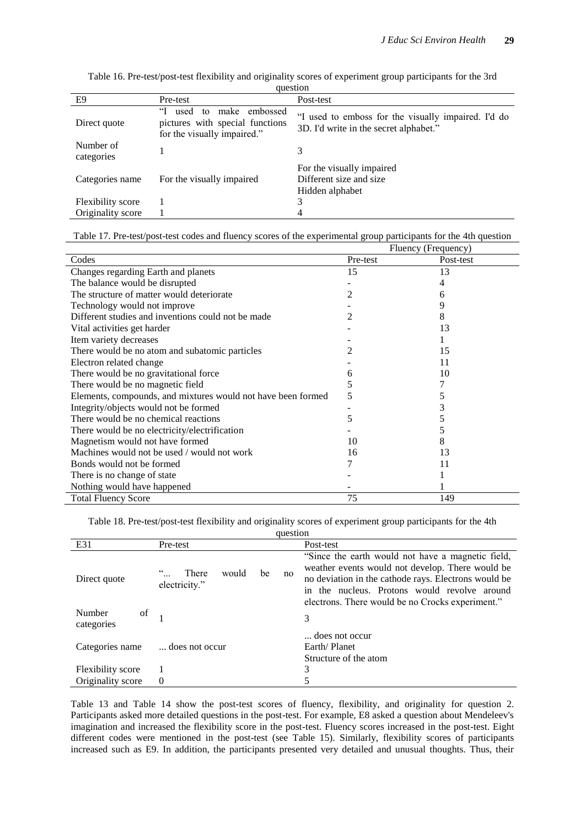| E9                      | Pre-test                                                                                         | Post-test                                                                                     |
|-------------------------|--------------------------------------------------------------------------------------------------|-----------------------------------------------------------------------------------------------|
| Direct quote            | ʻH<br>used to<br>make embossed<br>pictures with special functions<br>for the visually impaired." | "I used to emboss for the visually impaired. I'd do<br>3D. I'd write in the secret alphabet." |
| Number of<br>categories |                                                                                                  | 3                                                                                             |
| Categories name         | For the visually impaired                                                                        | For the visually impaired<br>Different size and size<br>Hidden alphabet                       |
| Flexibility score       |                                                                                                  | 3                                                                                             |
| Originality score       |                                                                                                  | 4                                                                                             |

| Table 16. Pre-test/post-test flexibility and originality scores of experiment group participants for the 3rd |  |  |
|--------------------------------------------------------------------------------------------------------------|--|--|
| auestion                                                                                                     |  |  |

| Table 17. Pre-test/post-test codes and fluency scores of the experimental group participants for the 4th question |  |  |
|-------------------------------------------------------------------------------------------------------------------|--|--|
|                                                                                                                   |  |  |

| racio 177110 tool post tost could and fracincy scores of the experimental group participants for the 4th question | Fluency (Frequency) |           |
|-------------------------------------------------------------------------------------------------------------------|---------------------|-----------|
| Codes                                                                                                             | Pre-test            | Post-test |
| Changes regarding Earth and planets                                                                               | 15                  | 13        |
| The balance would be disrupted                                                                                    |                     | 4         |
| The structure of matter would deteriorate                                                                         | 2                   | 6         |
| Technology would not improve                                                                                      |                     | 9         |
| Different studies and inventions could not be made                                                                | 2                   | 8         |
| Vital activities get harder                                                                                       |                     | 13        |
| Item variety decreases                                                                                            |                     |           |
| There would be no atom and subatomic particles                                                                    | 2                   | 15        |
| Electron related change                                                                                           |                     | 11        |
| There would be no gravitational force                                                                             | 6                   | 10        |
| There would be no magnetic field                                                                                  | 5                   |           |
| Elements, compounds, and mixtures would not have been formed                                                      | 5                   | 5         |
| Integrity/objects would not be formed                                                                             |                     | 3         |
| There would be no chemical reactions                                                                              | 5                   |           |
| There would be no electricity/electrification                                                                     |                     | 5         |
| Magnetism would not have formed                                                                                   | 10                  | 8         |
| Machines would not be used / would not work                                                                       | 16                  | 13        |
| Bonds would not be formed                                                                                         |                     | 11        |
| There is no change of state                                                                                       |                     |           |
| Nothing would have happened                                                                                       |                     |           |
| <b>Total Fluency Score</b>                                                                                        | 75                  | 149       |

Table 18. Pre-test/post-test flexibility and originality scores of experiment group participants for the 4th

| question                   |                                             |                                                                                                                                                                                                                                                                   |  |
|----------------------------|---------------------------------------------|-------------------------------------------------------------------------------------------------------------------------------------------------------------------------------------------------------------------------------------------------------------------|--|
| E31                        | Pre-test                                    | Post-test                                                                                                                                                                                                                                                         |  |
| Direct quote               | would<br>There<br>be<br>no<br>electricity." | "Since the earth would not have a magnetic field,<br>weather events would not develop. There would be<br>no deviation in the cathode rays. Electrons would be<br>in the nucleus. Protons would revolve around<br>electrons. There would be no Crocks experiment." |  |
| Number<br>of<br>categories |                                             | 3                                                                                                                                                                                                                                                                 |  |
| Categories name            | does not occur                              | does not occur<br>Earth/Planet<br>Structure of the atom                                                                                                                                                                                                           |  |
| Flexibility score          |                                             | 3                                                                                                                                                                                                                                                                 |  |
| Originality score          | $\theta$                                    | 5                                                                                                                                                                                                                                                                 |  |

Table 13 and Table 14 show the post-test scores of fluency, flexibility, and originality for question 2. Participants asked more detailed questions in the post-test. For example, E8 asked a question about Mendeleev's imagination and increased the flexibility score in the post-test. Fluency scores increased in the post-test. Eight different codes were mentioned in the post-test (see Table 15). Similarly, flexibility scores of participants increased such as E9. In addition, the participants presented very detailed and unusual thoughts. Thus, their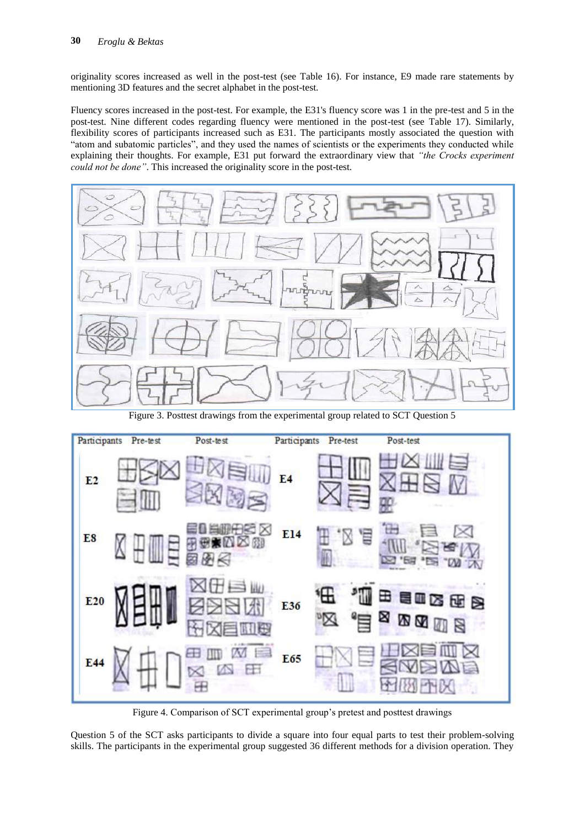originality scores increased as well in the post-test (see Table 16). For instance, E9 made rare statements by mentioning 3D features and the secret alphabet in the post-test.

Fluency scores increased in the post-test. For example, the E31's fluency score was 1 in the pre-test and 5 in the post-test. Nine different codes regarding fluency were mentioned in the post-test (see Table 17). Similarly, flexibility scores of participants increased such as E31. The participants mostly associated the question with "atom and subatomic particles", and they used the names of scientists or the experiments they conducted while explaining their thoughts. For example, E31 put forward the extraordinary view that *"the Crocks experiment could not be done"*. This increased the originality score in the post-test.



Figure 3. Posttest drawings from the experimental group related to SCT Question 5



Figure 4. Comparison of SCT experimental group's pretest and posttest drawings

Question 5 of the SCT asks participants to divide a square into four equal parts to test their problem-solving skills. The participants in the experimental group suggested 36 different methods for a division operation. They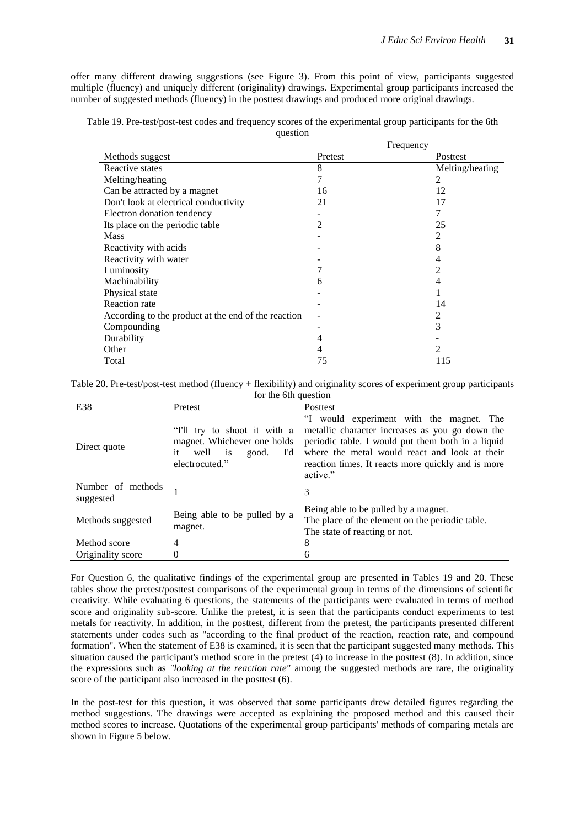offer many different drawing suggestions (see Figure 3). From this point of view, participants suggested multiple (fluency) and uniquely different (originality) drawings. Experimental group participants increased the number of suggested methods (fluency) in the posttest drawings and produced more original drawings.

Table 19. Pre-test/post-test codes and frequency scores of the experimental group participants for the 6th question

|                                                     |         | Frequency       |
|-----------------------------------------------------|---------|-----------------|
| Methods suggest                                     | Pretest | Posttest        |
| Reactive states                                     | 8       | Melting/heating |
| Melting/heating                                     |         | 2               |
| Can be attracted by a magnet                        | 16      | 12              |
| Don't look at electrical conductivity               | 21      | 17              |
| Electron donation tendency                          |         |                 |
| Its place on the periodic table                     | 2       | 25              |
| <b>Mass</b>                                         |         | 2               |
| Reactivity with acids                               |         | 8               |
| Reactivity with water                               |         | 4               |
| Luminosity                                          |         | 2               |
| Machinability                                       | 6       | 4               |
| Physical state                                      |         |                 |
| <b>Reaction</b> rate                                |         | 14              |
| According to the product at the end of the reaction |         | 2               |
| Compounding                                         |         | 3               |
| Durability                                          | 4       |                 |
| Other                                               | 4       | $\mathfrak{D}$  |
| Total                                               | 75      | 115             |

Table 20. Pre-test/post-test method (fluency + flexibility) and originality scores of experiment group participants for the 6th question

| E38                            | Pretest                                                                                                                      | Posttest                                                                                                                                                                                                                                                |  |
|--------------------------------|------------------------------------------------------------------------------------------------------------------------------|---------------------------------------------------------------------------------------------------------------------------------------------------------------------------------------------------------------------------------------------------------|--|
| Direct quote                   | "I'll try to shoot it with a<br>magnet. Whichever one holds<br>well<br>is<br>Td.<br>good.<br><sub>it</sub><br>electrocuted." | "I would experiment with the magnet. The<br>metallic character increases as you go down the<br>periodic table. I would put them both in a liquid<br>where the metal would react and look at their<br>reaction times. It reacts more quickly and is more |  |
|                                |                                                                                                                              | active."                                                                                                                                                                                                                                                |  |
| Number of methods<br>suggested |                                                                                                                              | 3                                                                                                                                                                                                                                                       |  |
| Methods suggested              | Being able to be pulled by a<br>magnet.                                                                                      | Being able to be pulled by a magnet.<br>The place of the element on the periodic table.<br>The state of reacting or not.                                                                                                                                |  |
| Method score                   | 4                                                                                                                            | 8                                                                                                                                                                                                                                                       |  |
| Originality score              | 0                                                                                                                            | 6                                                                                                                                                                                                                                                       |  |

For Question 6, the qualitative findings of the experimental group are presented in Tables 19 and 20. These tables show the pretest/posttest comparisons of the experimental group in terms of the dimensions of scientific creativity. While evaluating 6 questions, the statements of the participants were evaluated in terms of method score and originality sub-score. Unlike the pretest, it is seen that the participants conduct experiments to test metals for reactivity. In addition, in the posttest, different from the pretest, the participants presented different statements under codes such as "according to the final product of the reaction, reaction rate, and compound formation". When the statement of E38 is examined, it is seen that the participant suggested many methods. This situation caused the participant's method score in the pretest (4) to increase in the posttest (8). In addition, since the expressions such as *"looking at the reaction rate"* among the suggested methods are rare, the originality score of the participant also increased in the posttest (6).

In the post-test for this question, it was observed that some participants drew detailed figures regarding the method suggestions. The drawings were accepted as explaining the proposed method and this caused their method scores to increase. Quotations of the experimental group participants' methods of comparing metals are shown in Figure 5 below.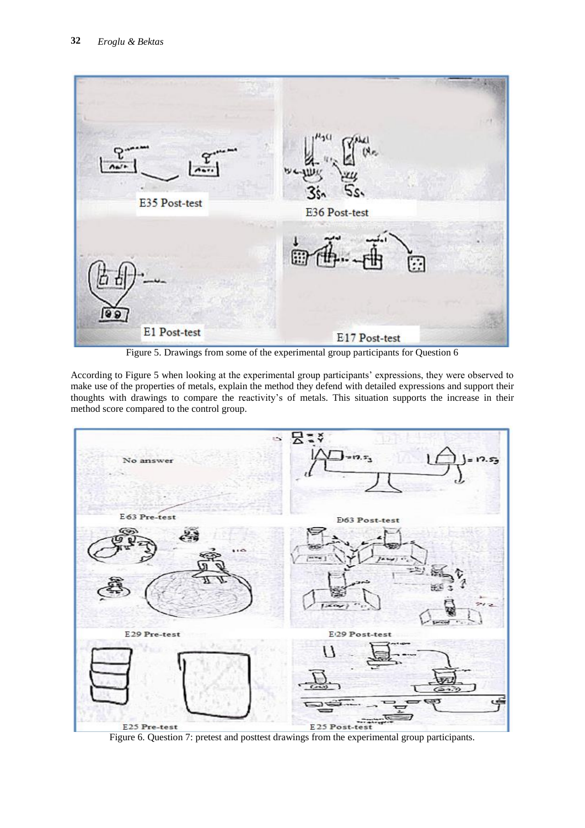

Figure 5. Drawings from some of the experimental group participants for Question 6

According to Figure 5 when looking at the experimental group participants' expressions, they were observed to make use of the properties of metals, explain the method they defend with detailed expressions and support their thoughts with drawings to compare the reactivity's of metals. This situation supports the increase in their method score compared to the control group.



Figure 6. Question 7: pretest and posttest drawings from the experimental group participants.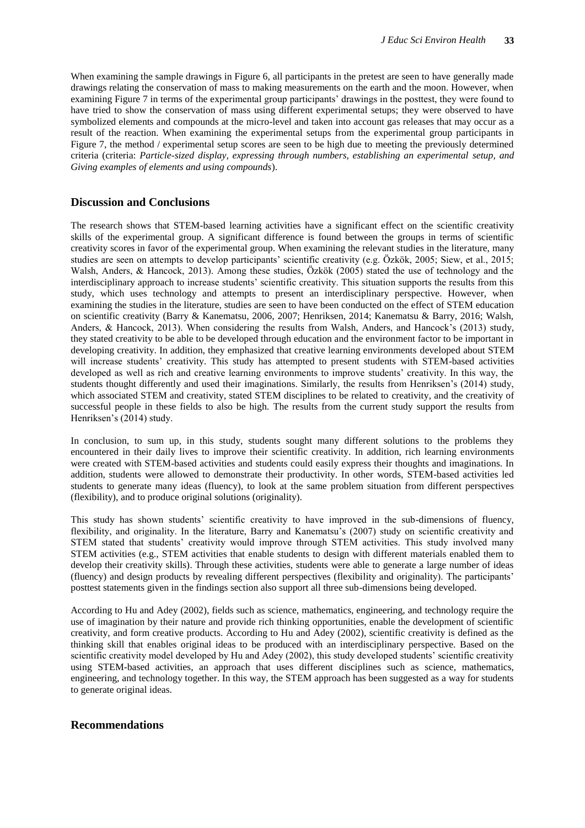When examining the sample drawings in Figure 6, all participants in the pretest are seen to have generally made drawings relating the conservation of mass to making measurements on the earth and the moon. However, when examining Figure 7 in terms of the experimental group participants' drawings in the posttest, they were found to have tried to show the conservation of mass using different experimental setups; they were observed to have symbolized elements and compounds at the micro-level and taken into account gas releases that may occur as a result of the reaction. When examining the experimental setups from the experimental group participants in Figure 7, the method / experimental setup scores are seen to be high due to meeting the previously determined criteria (criteria: *Particle-sized display, expressing through numbers, establishing an experimental setup, and Giving examples of elements and using compounds*).

### **Discussion and Conclusions**

The research shows that STEM-based learning activities have a significant effect on the scientific creativity skills of the experimental group. A significant difference is found between the groups in terms of scientific creativity scores in favor of the experimental group. When examining the relevant studies in the literature, many studies are seen on attempts to develop participants' scientific creativity (e.g. Özkök, 2005; Siew, et al., 2015; Walsh, Anders, & Hancock, 2013). Among these studies, Özkök (2005) stated the use of technology and the interdisciplinary approach to increase students' scientific creativity. This situation supports the results from this study, which uses technology and attempts to present an interdisciplinary perspective. However, when examining the studies in the literature, studies are seen to have been conducted on the effect of STEM education on scientific creativity (Barry & Kanematsu, 2006, 2007; Henriksen, 2014; Kanematsu & Barry, 2016; Walsh, Anders, & Hancock, 2013). When considering the results from Walsh, Anders, and Hancock's (2013) study, they stated creativity to be able to be developed through education and the environment factor to be important in developing creativity. In addition, they emphasized that creative learning environments developed about STEM will increase students' creativity. This study has attempted to present students with STEM-based activities developed as well as rich and creative learning environments to improve students' creativity. In this way, the students thought differently and used their imaginations. Similarly, the results from Henriksen's (2014) study, which associated STEM and creativity, stated STEM disciplines to be related to creativity, and the creativity of successful people in these fields to also be high. The results from the current study support the results from Henriksen's (2014) study.

In conclusion, to sum up, in this study, students sought many different solutions to the problems they encountered in their daily lives to improve their scientific creativity. In addition, rich learning environments were created with STEM-based activities and students could easily express their thoughts and imaginations. In addition, students were allowed to demonstrate their productivity. In other words, STEM-based activities led students to generate many ideas (fluency), to look at the same problem situation from different perspectives (flexibility), and to produce original solutions (originality).

This study has shown students' scientific creativity to have improved in the sub-dimensions of fluency, flexibility, and originality. In the literature, Barry and Kanematsu's (2007) study on scientific creativity and STEM stated that students' creativity would improve through STEM activities. This study involved many STEM activities (e.g., STEM activities that enable students to design with different materials enabled them to develop their creativity skills). Through these activities, students were able to generate a large number of ideas (fluency) and design products by revealing different perspectives (flexibility and originality). The participants' posttest statements given in the findings section also support all three sub-dimensions being developed.

According to Hu and Adey (2002), fields such as science, mathematics, engineering, and technology require the use of imagination by their nature and provide rich thinking opportunities, enable the development of scientific creativity, and form creative products. According to Hu and Adey (2002), scientific creativity is defined as the thinking skill that enables original ideas to be produced with an interdisciplinary perspective. Based on the scientific creativity model developed by Hu and Adey (2002), this study developed students' scientific creativity using STEM-based activities, an approach that uses different disciplines such as science, mathematics, engineering, and technology together. In this way, the STEM approach has been suggested as a way for students to generate original ideas.

## **Recommendations**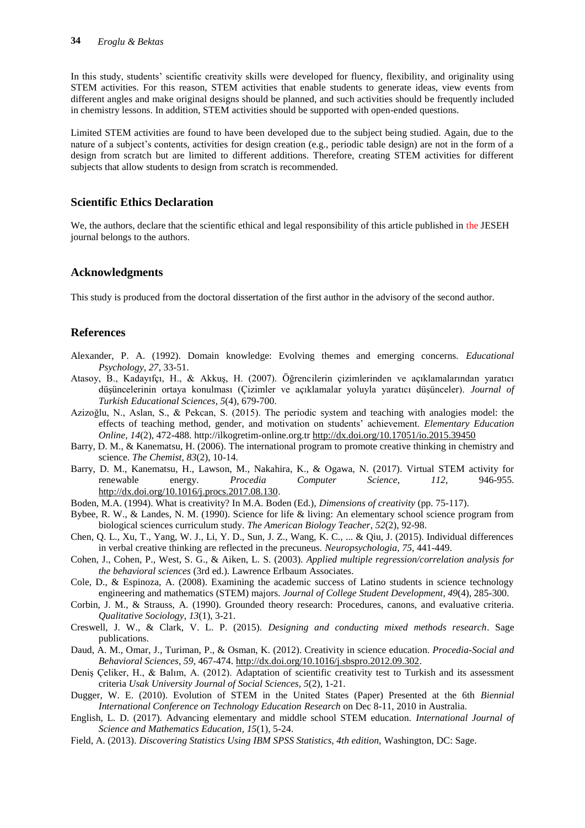In this study, students' scientific creativity skills were developed for fluency, flexibility, and originality using STEM activities. For this reason, STEM activities that enable students to generate ideas, view events from different angles and make original designs should be planned, and such activities should be frequently included in chemistry lessons. In addition, STEM activities should be supported with open-ended questions.

Limited STEM activities are found to have been developed due to the subject being studied. Again, due to the nature of a subject's contents, activities for design creation (e.g., periodic table design) are not in the form of a design from scratch but are limited to different additions. Therefore, creating STEM activities for different subjects that allow students to design from scratch is recommended.

### **Scientific Ethics Declaration**

We, the authors, declare that the scientific ethical and legal responsibility of this article published in the JESEH journal belongs to the authors.

#### **Acknowledgments**

This study is produced from the doctoral dissertation of the first author in the advisory of the second author.

## **References**

- Alexander, P. A. (1992). Domain knowledge: Evolving themes and emerging concerns. *Educational Psychology, 27*, 33-51.
- Atasoy, B., Kadayıfçı, H., & Akkuş, H. (2007). Öğrencilerin çizimlerinden ve açıklamalarından yaratıcı düşüncelerinin ortaya konulması (Çizimler ve açıklamalar yoluyla yaratıcı düşünceler). *Journal of Turkish Educational Sciences*, *5*(4), 679-700.
- Azizoğlu, N., Aslan, S., & Pekcan, S. (2015). The periodic system and teaching with analogies model: the effects of teaching method, gender, and motivation on students' achievement. *Elementary Education Online*, *14*(2), 472-488. http://ilkogretim-online.org.tr<http://dx.doi.org/10.17051/io.2015.39450>
- Barry, D. M., & Kanematsu, H. (2006). The international program to promote creative thinking in chemistry and science. *The Chemist*, *83*(2), 10-14.
- Barry, D. M., Kanematsu, H., Lawson, M., Nakahira, K., & Ogawa, N. (2017). Virtual STEM activity for renewable energy. *Procedia Computer Science*, *112*, 946-955. [http://dx.doi.org/10.1016/j.procs.2017.08.130.](http://dx.doi.org/10.1016/j.procs.2017.08.130)
- Boden, M.A. (1994). What is creativity? In M.A. Boden (Ed.), *Dimensions of creativity* (pp. 75-117).
- Bybee, R. W., & Landes, N. M. (1990). Science for life & living: An elementary school science program from biological sciences curriculum study. *The American Biology Teacher*, *52*(2), 92-98.
- Chen, Q. L., Xu, T., Yang, W. J., Li, Y. D., Sun, J. Z., Wang, K. C., ... & Qiu, J. (2015). Individual differences in verbal creative thinking are reflected in the precuneus. *Neuropsychologia*, *75*, 441-449.
- Cohen, J., Cohen, P., West, S. G., & Aiken, L. S. (2003). *Applied multiple regression/correlation analysis for the behavioral sciences* (3rd ed.). Lawrence Erlbaum Associates.
- Cole, D., & Espinoza, A. (2008). Examining the academic success of Latino students in science technology engineering and mathematics (STEM) majors. *Journal of College Student Development*, *49*(4), 285-300.
- Corbin, J. M., & Strauss, A. (1990). Grounded theory research: Procedures, canons, and evaluative criteria. *Qualitative Sociology*, *13*(1), 3-21.
- Creswell, J. W., & Clark, V. L. P. (2015). *Designing and conducting mixed methods research*. Sage publications.
- Daud, A. M., Omar, J., Turiman, P., & Osman, K. (2012). Creativity in science education. *Procedia-Social and Behavioral Sciences*, *59*, 467-474. [http://dx.doi.org/10.1016/j.sbspro.2012.09.302.](http://dx.doi.org/10.1016/j.sbspro.2012.09.302)
- Deniş Çeliker, H., & Balım, A. (2012). Adaptation of scientific creativity test to Turkish and its assessment criteria *Usak University Journal of Social Sciences, 5*(2), 1-21.
- Dugger, W. E. (2010). Evolution of STEM in the United States (Paper) Presented at the 6th *Biennial International Conference on Technology Education Research* on Dec 8-11, 2010 in Australia.
- English, L. D. (2017). Advancing elementary and middle school STEM education. *International Journal of Science and Mathematics Education*, *15*(1), 5-24.
- Field, A. (2013). *Discovering Statistics Using IBM SPSS Statistics, 4th edition,* Washington, DC: Sage.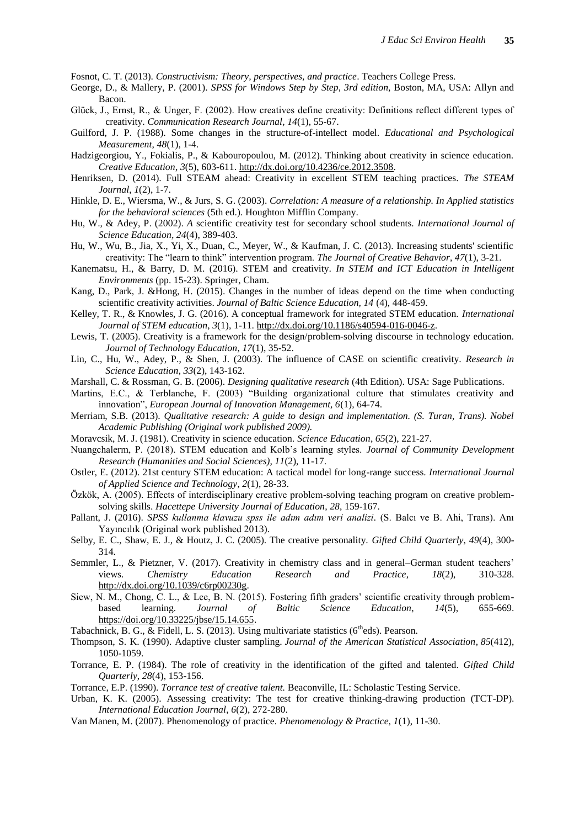Fosnot, C. T. (2013). *Constructivism: Theory, perspectives, and practice*. Teachers College Press.

- George, D., & Mallery, P. (2001). *SPSS for Windows Step by Step*, *3rd edition,* Boston, MA, USA: Allyn and Bacon.
- Glück, J., Ernst, R., & Unger, F. (2002). How creatives define creativity: Definitions reflect different types of creativity. *Communication Research Journal, 14*(1), 55-67.
- Guilford, J. P. (1988). Some changes in the structure-of-intellect model. *Educational and Psychological Measurement*, *48*(1), 1-4.
- Hadzigeorgiou, Y., Fokialis, P., & Kabouropoulou, M. (2012). Thinking about creativity in science education. *Creative Education*, *3*(5), 603-611. [http://dx.doi.org/10.4236/ce.2012.3508.](http://dx.doi.org/10.4236/ce.2012.3508)
- Henriksen, D. (2014). Full STEAM ahead: Creativity in excellent STEM teaching practices. *The STEAM Journal*, *1*(2), 1-7.
- Hinkle, D. E., Wiersma, W., & Jurs, S. G. (2003). *Correlation: A measure of a relationship. In Applied statistics for the behavioral sciences* (5th ed.). Houghton Mifflin Company.
- Hu, W., & Adey, P. (2002). *A* scientific creativity test for secondary school students. *International Journal of Science Education, 24*(4), 389-403.
- Hu, W., Wu, B., Jia, X., Yi, X., Duan, C., Meyer, W., & Kaufman, J. C. (2013). Increasing students' scientific creativity: The "learn to think" intervention program. *The Journal of Creative Behavior*, *47*(1), 3-21.
- Kanematsu, H., & Barry, D. M. (2016). STEM and creativity. *In STEM and ICT Education in Intelligent Environments* (pp. 15-23). Springer, Cham.
- Kang, D., Park, J. &Hong, H. (2015). Changes in the number of ideas depend on the time when conducting scientific creativity activities. *Journal of Baltic Science Education, 14* (4), 448-459.
- Kelley, T. R., & Knowles, J. G. (2016). A conceptual framework for integrated STEM education. *International Journal of STEM education*, *3*(1), 1-11. [http://dx.doi.org/10.1186/s40594-016-0046-z.](http://dx.doi.org/10.1186/s40594-016-0046-z)
- Lewis, T. (2005). Creativity is a framework for the design/problem-solving discourse in technology education. *Journal of Technology Education*, *17*(1), 35-52.
- Lin, C., Hu, W., Adey, P., & Shen, J. (2003). The influence of CASE on scientific creativity. *Research in Science Education*, *33*(2), 143-162.
- Marshall, C. & Rossman, G. B. (2006). *Designing qualitative research* (4th Edition). USA: Sage Publications.
- Martins, E.C., & Terblanche, F. (2003) "Building organizational culture that stimulates creativity and innovation", *European Journal of Innovation Management, 6*(1), 64-74.
- Merriam, S.B. (2013). *Qualitative research: A guide to design and implementation. (S. Turan, Trans). Nobel Academic Publishing (Original work published 2009).*
- Moravcsik, M. J. (1981). Creativity in science education. *Science Education*, *65*(2), 221-27.
- Nuangchalerm, P. (2018). STEM education and Kolb's learning styles. *Journal of Community Development Research (Humanities and Social Sciences), 11*(2), 11-17.
- Ostler, E. (2012). 21st century STEM education: A tactical model for long-range success. *International Journal of Applied Science and Technology*, *2*(1), 28-33.
- Özkök, A. (2005). Effects of interdisciplinary creative problem-solving teaching program on creative problemsolving skills. *Hacettepe University Journal of Education*, *28*, 159-167.
- Pallant, J. (2016). *SPSS kullanma klavuzu spss ile adım adım veri analizi.* (S. Balcı ve B. Ahi, Trans). Anı Yayıncılık (Original work published 2013).
- Selby, E. C., Shaw, E. J., & Houtz, J. C. (2005). The creative personality. *Gifted Child Quarterly*, *49*(4), 300- 314.
- Semmler, L., & Pietzner, V. (2017). Creativity in chemistry class and in general–German student teachers' views. *Chemistry Education Research and Practice*, *18*(2), 310-328. [http://dx.doi.org/10.1039/c6rp00230g.](http://dx.doi.org/10.1039/c6rp00230g)
- Siew, N. M., Chong, C. L., & Lee, B. N. (2015). Fostering fifth graders' scientific creativity through problembased learning. *Journal of Baltic Science Education*, *14*(5), 655-669. [https://doi.org/10.33225/jbse/15.14.655.](https://doi.org/10.33225/jbse/15.14.655)
- Tabachnick, B. G., & Fidell, L. S. (2013). Using multivariate statistics (6<sup>th</sup>eds). Pearson.
- Thompson, S. K. (1990). Adaptive cluster sampling. *Journal of the American Statistical Association*, *85*(412), 1050-1059.
- Torrance, E. P. (1984). The role of creativity in the identification of the gifted and talented. *Gifted Child Quarterly*, *28*(4), 153-156.
- Torrance, E.P. (1990). *Torrance test of creative talent.* Beaconville, IL: Scholastic Testing Service.
- Urban, K. K. (2005). Assessing creativity: The test for creative thinking-drawing production (TCT-DP). *International Education Journal*, *6*(2), 272-280.
- Van Manen, M. (2007). Phenomenology of practice. *Phenomenology & Practice, 1*(1), 11-30.